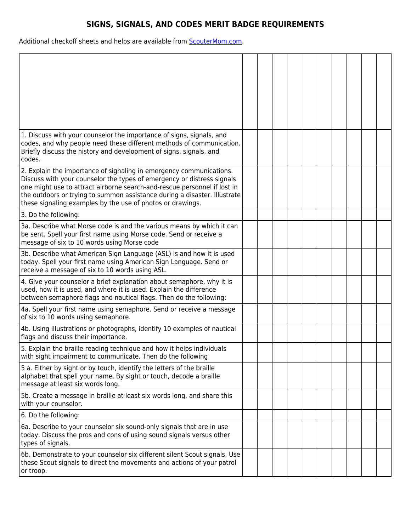## **SIGNS, SIGNALS, AND CODES MERIT BADGE REQUIREMENTS**

Additional checkoff sheets and helps are available from **ScouterMom.com**.

| 1. Discuss with your counselor the importance of signs, signals, and<br>codes, and why people need these different methods of communication.<br>Briefly discuss the history and development of signs, signals, and<br>codes.                                                                                                                                         |  |  |  |  |  |
|----------------------------------------------------------------------------------------------------------------------------------------------------------------------------------------------------------------------------------------------------------------------------------------------------------------------------------------------------------------------|--|--|--|--|--|
| 2. Explain the importance of signaling in emergency communications.<br>Discuss with your counselor the types of emergency or distress signals<br>one might use to attract airborne search-and-rescue personnel if lost in<br>the outdoors or trying to summon assistance during a disaster. Illustrate<br>these signaling examples by the use of photos or drawings. |  |  |  |  |  |
| 3. Do the following:                                                                                                                                                                                                                                                                                                                                                 |  |  |  |  |  |
| 3a. Describe what Morse code is and the various means by which it can<br>be sent. Spell your first name using Morse code. Send or receive a<br>message of six to 10 words using Morse code                                                                                                                                                                           |  |  |  |  |  |
| 3b. Describe what American Sign Language (ASL) is and how it is used<br>today. Spell your first name using American Sign Language. Send or<br>receive a message of six to 10 words using ASL.                                                                                                                                                                        |  |  |  |  |  |
| 4. Give your counselor a brief explanation about semaphore, why it is<br>used, how it is used, and where it is used. Explain the difference<br>between semaphore flags and nautical flags. Then do the following:                                                                                                                                                    |  |  |  |  |  |
| 4a. Spell your first name using semaphore. Send or receive a message<br>of six to 10 words using semaphore.                                                                                                                                                                                                                                                          |  |  |  |  |  |
| 4b. Using illustrations or photographs, identify 10 examples of nautical<br>flags and discuss their importance.                                                                                                                                                                                                                                                      |  |  |  |  |  |
| 5. Explain the braille reading technique and how it helps individuals<br>with sight impairment to communicate. Then do the following                                                                                                                                                                                                                                 |  |  |  |  |  |
| 5 a. Either by sight or by touch, identify the letters of the braille<br>alphabet that spell your name. By sight or touch, decode a braille<br>message at least six words long.                                                                                                                                                                                      |  |  |  |  |  |
| 5b. Create a message in braille at least six words long, and share this<br>with your counselor.                                                                                                                                                                                                                                                                      |  |  |  |  |  |
| 6. Do the following:                                                                                                                                                                                                                                                                                                                                                 |  |  |  |  |  |
| 6a. Describe to your counselor six sound-only signals that are in use<br>today. Discuss the pros and cons of using sound signals versus other<br>types of signals.                                                                                                                                                                                                   |  |  |  |  |  |
| 6b. Demonstrate to your counselor six different silent Scout signals. Use<br>these Scout signals to direct the movements and actions of your patrol<br>or troop.                                                                                                                                                                                                     |  |  |  |  |  |